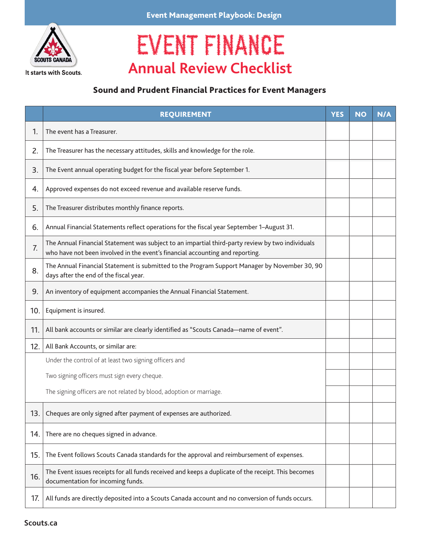

It starts with Scouts.

## Event Management Playbook: Design

## EVENT FINANCE **Annual Review Checklist**

## Sound and Prudent Financial Practices for Event Managers

|     | <b>REQUIREMENT</b>                                                                                                                                                                | <b>YES</b> | <b>NO</b> | N/A |
|-----|-----------------------------------------------------------------------------------------------------------------------------------------------------------------------------------|------------|-----------|-----|
| 1.  | The event has a Treasurer.                                                                                                                                                        |            |           |     |
| 2.  | The Treasurer has the necessary attitudes, skills and knowledge for the role.                                                                                                     |            |           |     |
| 3.  | The Event annual operating budget for the fiscal year before September 1.                                                                                                         |            |           |     |
| 4.  | Approved expenses do not exceed revenue and available reserve funds.                                                                                                              |            |           |     |
| 5.  | The Treasurer distributes monthly finance reports.                                                                                                                                |            |           |     |
| 6.  | Annual Financial Statements reflect operations for the fiscal year September 1-August 31.                                                                                         |            |           |     |
| 7.  | The Annual Financial Statement was subject to an impartial third-party review by two individuals<br>who have not been involved in the event's financial accounting and reporting. |            |           |     |
| 8.  | The Annual Financial Statement is submitted to the Program Support Manager by November 30, 90<br>days after the end of the fiscal year.                                           |            |           |     |
| 9.  | An inventory of equipment accompanies the Annual Financial Statement.                                                                                                             |            |           |     |
| 10. | Equipment is insured.                                                                                                                                                             |            |           |     |
| 11. | All bank accounts or similar are clearly identified as "Scouts Canada-name of event".                                                                                             |            |           |     |
| 12. | All Bank Accounts, or similar are:                                                                                                                                                |            |           |     |
|     | Under the control of at least two signing officers and                                                                                                                            |            |           |     |
|     | Two signing officers must sign every cheque.                                                                                                                                      |            |           |     |
|     | The signing officers are not related by blood, adoption or marriage.                                                                                                              |            |           |     |
| 13. | Cheques are only signed after payment of expenses are authorized.                                                                                                                 |            |           |     |
| 14. | There are no cheques signed in advance.                                                                                                                                           |            |           |     |
| 15. | The Event follows Scouts Canada standards for the approval and reimbursement of expenses.                                                                                         |            |           |     |
| 16. | The Event issues receipts for all funds received and keeps a duplicate of the receipt. This becomes<br>documentation for incoming funds.                                          |            |           |     |
| 17. | All funds are directly deposited into a Scouts Canada account and no conversion of funds occurs.                                                                                  |            |           |     |